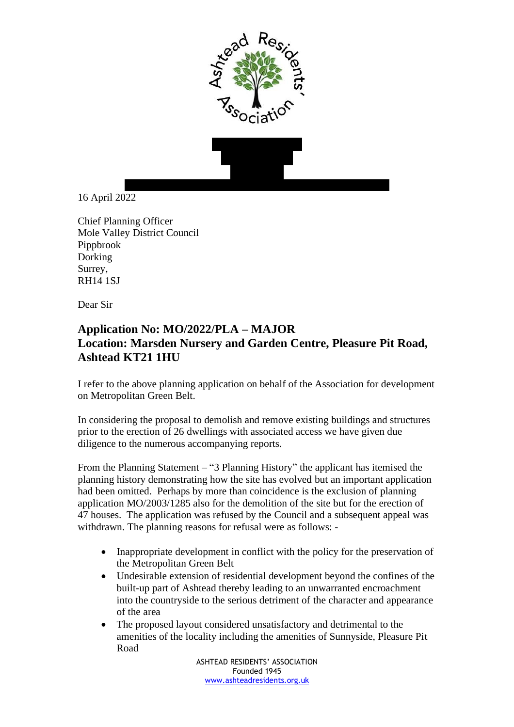



16 April 2022

Chief Planning Officer Mole Valley District Council Pippbrook Dorking Surrey, RH14 1SJ

Dear Sir

## **Application No: MO/2022/PLA – MAJOR Location: Marsden Nursery and Garden Centre, Pleasure Pit Road, Ashtead KT21 1HU**

I refer to the above planning application on behalf of the Association for development on Metropolitan Green Belt.

In considering the proposal to demolish and remove existing buildings and structures prior to the erection of 26 dwellings with associated access we have given due diligence to the numerous accompanying reports.

From the Planning Statement – "3 Planning History" the applicant has itemised the planning history demonstrating how the site has evolved but an important application had been omitted. Perhaps by more than coincidence is the exclusion of planning application MO/2003/1285 also for the demolition of the site but for the erection of 47 houses. The application was refused by the Council and a subsequent appeal was withdrawn. The planning reasons for refusal were as follows: -

- Inappropriate development in conflict with the policy for the preservation of the Metropolitan Green Belt
- Undesirable extension of residential development beyond the confines of the built-up part of Ashtead thereby leading to an unwarranted encroachment into the countryside to the serious detriment of the character and appearance of the area
- The proposed layout considered unsatisfactory and detrimental to the amenities of the locality including the amenities of Sunnyside, Pleasure Pit Road

ASHTEAD RESIDENTS' ASSOCIATION Founded 1945 [www.ashteadresidents.org.uk](http://www.ashteadresidents.org.uk/)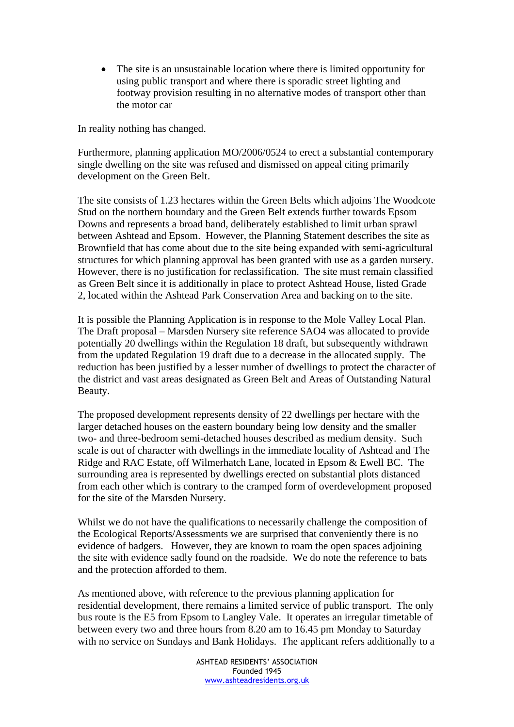• The site is an unsustainable location where there is limited opportunity for using public transport and where there is sporadic street lighting and footway provision resulting in no alternative modes of transport other than the motor car

In reality nothing has changed.

Furthermore, planning application MO/2006/0524 to erect a substantial contemporary single dwelling on the site was refused and dismissed on appeal citing primarily development on the Green Belt.

The site consists of 1.23 hectares within the Green Belts which adjoins The Woodcote Stud on the northern boundary and the Green Belt extends further towards Epsom Downs and represents a broad band, deliberately established to limit urban sprawl between Ashtead and Epsom. However, the Planning Statement describes the site as Brownfield that has come about due to the site being expanded with semi-agricultural structures for which planning approval has been granted with use as a garden nursery. However, there is no justification for reclassification. The site must remain classified as Green Belt since it is additionally in place to protect Ashtead House, listed Grade 2, located within the Ashtead Park Conservation Area and backing on to the site.

It is possible the Planning Application is in response to the Mole Valley Local Plan. The Draft proposal – Marsden Nursery site reference SAO4 was allocated to provide potentially 20 dwellings within the Regulation 18 draft, but subsequently withdrawn from the updated Regulation 19 draft due to a decrease in the allocated supply. The reduction has been justified by a lesser number of dwellings to protect the character of the district and vast areas designated as Green Belt and Areas of Outstanding Natural Beauty.

The proposed development represents density of 22 dwellings per hectare with the larger detached houses on the eastern boundary being low density and the smaller two- and three-bedroom semi-detached houses described as medium density. Such scale is out of character with dwellings in the immediate locality of Ashtead and The Ridge and RAC Estate, off Wilmerhatch Lane, located in Epsom & Ewell BC. The surrounding area is represented by dwellings erected on substantial plots distanced from each other which is contrary to the cramped form of overdevelopment proposed for the site of the Marsden Nursery.

Whilst we do not have the qualifications to necessarily challenge the composition of the Ecological Reports/Assessments we are surprised that conveniently there is no evidence of badgers. However, they are known to roam the open spaces adjoining the site with evidence sadly found on the roadside. We do note the reference to bats and the protection afforded to them.

As mentioned above, with reference to the previous planning application for residential development, there remains a limited service of public transport. The only bus route is the E5 from Epsom to Langley Vale. It operates an irregular timetable of between every two and three hours from 8.20 am to 16.45 pm Monday to Saturday with no service on Sundays and Bank Holidays. The applicant refers additionally to a